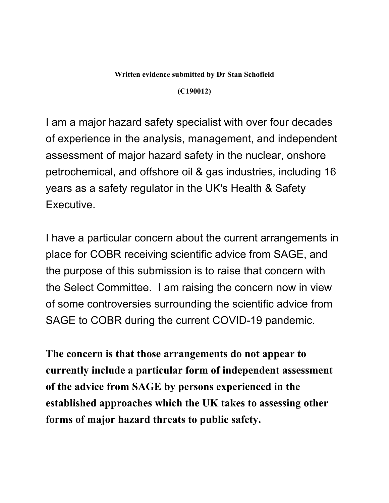## **Written evidence submitted by Dr Stan Schofield**

**(C190012)**

I am a major hazard safety specialist with over four decades of experience in the analysis, management, and independent assessment of major hazard safety in the nuclear, onshore petrochemical, and offshore oil & gas industries, including 16 years as a safety regulator in the UK's Health & Safety Executive.

I have a particular concern about the current arrangements in place for COBR receiving scientific advice from SAGE, and the purpose of this submission is to raise that concern with the Select Committee. I am raising the concern now in view of some controversies surrounding the scientific advice from SAGE to COBR during the current COVID-19 pandemic.

**The concern is that those arrangements do not appear to currently include a particular form of independent assessment of the advice from SAGE by persons experienced in the established approaches which the UK takes to assessing other forms of major hazard threats to public safety.**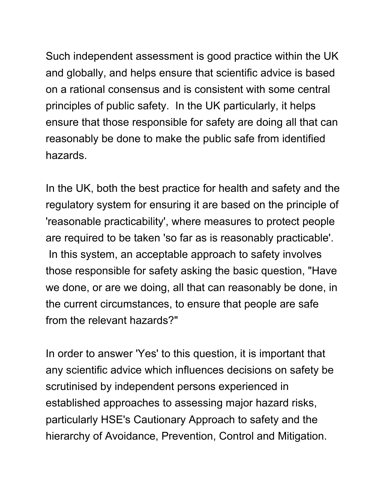Such independent assessment is good practice within the UK and globally, and helps ensure that scientific advice is based on a rational consensus and is consistent with some central principles of public safety. In the UK particularly, it helps ensure that those responsible for safety are doing all that can reasonably be done to make the public safe from identified hazards.

In the UK, both the best practice for health and safety and the regulatory system for ensuring it are based on the principle of 'reasonable practicability', where measures to protect people are required to be taken 'so far as is reasonably practicable'. In this system, an acceptable approach to safety involves those responsible for safety asking the basic question, "Have we done, or are we doing, all that can reasonably be done, in the current circumstances, to ensure that people are safe from the relevant hazards?"

In order to answer 'Yes' to this question, it is important that any scientific advice which influences decisions on safety be scrutinised by independent persons experienced in established approaches to assessing major hazard risks, particularly HSE's Cautionary Approach to safety and the hierarchy of Avoidance, Prevention, Control and Mitigation.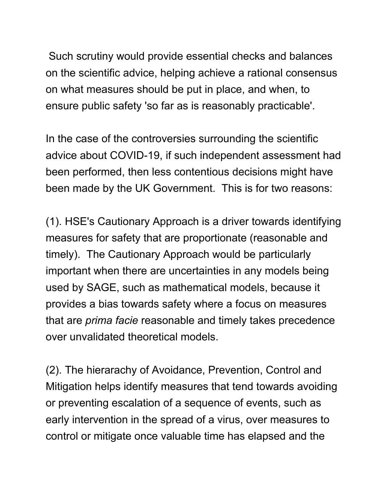Such scrutiny would provide essential checks and balances on the scientific advice, helping achieve a rational consensus on what measures should be put in place, and when, to ensure public safety 'so far as is reasonably practicable'.

In the case of the controversies surrounding the scientific advice about COVID-19, if such independent assessment had been performed, then less contentious decisions might have been made by the UK Government. This is for two reasons:

(1). HSE's Cautionary Approach is a driver towards identifying measures for safety that are proportionate (reasonable and timely). The Cautionary Approach would be particularly important when there are uncertainties in any models being used by SAGE, such as mathematical models, because it provides a bias towards safety where a focus on measures that are *prima facie* reasonable and timely takes precedence over unvalidated theoretical models.

(2). The hierarachy of Avoidance, Prevention, Control and Mitigation helps identify measures that tend towards avoiding or preventing escalation of a sequence of events, such as early intervention in the spread of a virus, over measures to control or mitigate once valuable time has elapsed and the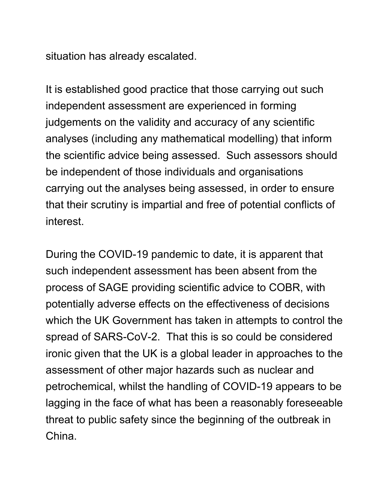situation has already escalated.

It is established good practice that those carrying out such independent assessment are experienced in forming judgements on the validity and accuracy of any scientific analyses (including any mathematical modelling) that inform the scientific advice being assessed. Such assessors should be independent of those individuals and organisations carrying out the analyses being assessed, in order to ensure that their scrutiny is impartial and free of potential conflicts of interest.

During the COVID-19 pandemic to date, it is apparent that such independent assessment has been absent from the process of SAGE providing scientific advice to COBR, with potentially adverse effects on the effectiveness of decisions which the UK Government has taken in attempts to control the spread of SARS-CoV-2. That this is so could be considered ironic given that the UK is a global leader in approaches to the assessment of other major hazards such as nuclear and petrochemical, whilst the handling of COVID-19 appears to be lagging in the face of what has been a reasonably foreseeable threat to public safety since the beginning of the outbreak in China.